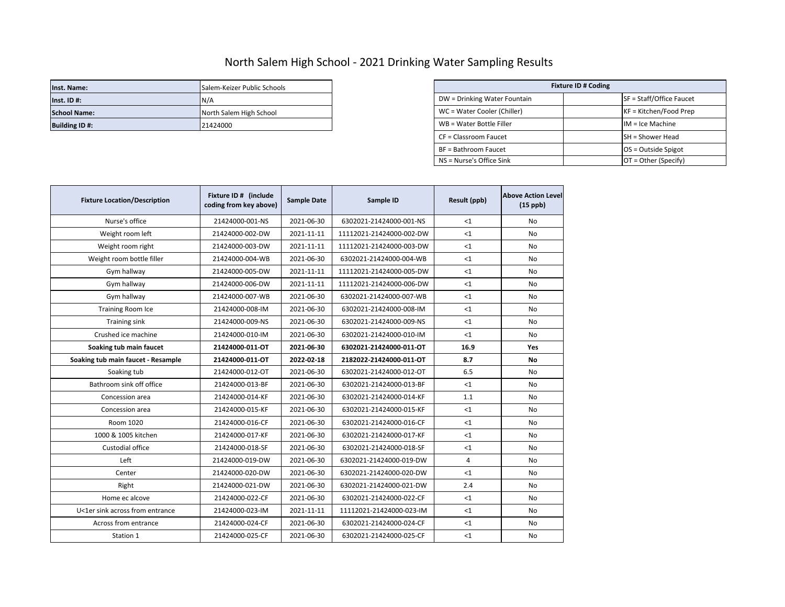## North Salem High School - 2021 Drinking Water Sampling Results

| Inst. Name:          | Salem-Keizer Public Schools |                              | <b>Fixture ID # Coding</b> |                          |  |
|----------------------|-----------------------------|------------------------------|----------------------------|--------------------------|--|
| $Inst.$ ID #:        | IN/A                        | DW = Drinking Water Fountain |                            | SF = Staff/Office Faucet |  |
| <b>School Name:</b>  | North Salem High School     | WC = Water Cooler (Chiller)  |                            | KF = Kitchen/Food Prep   |  |
| <b>Building ID#:</b> | 21424000                    | WB = Water Bottle Filler     |                            | $IM = Ice Machine$       |  |

| Salem-Keizer Public Schools | <b>Fixture ID # Coding</b>   |                          |  |  |
|-----------------------------|------------------------------|--------------------------|--|--|
| N/A                         | DW = Drinking Water Fountain | SF = Staff/Office Faucet |  |  |
| North Salem High School     | WC = Water Cooler (Chiller)  | $KF = Kitchen/Food Prep$ |  |  |
| 21424000                    | WB = Water Bottle Filler     | $IM = Ice Machine$       |  |  |
|                             | CF = Classroom Faucet        | <b>SH</b> = Shower Head  |  |  |
|                             | BF = Bathroom Faucet         | $OS = Outside Spigot$    |  |  |
|                             | NS = Nurse's Office Sink     | $OT = Other (Specify)$   |  |  |

| <b>Fixture Location/Description</b> | Fixture ID # (include<br>coding from key above) | <b>Sample Date</b> | Sample ID                | <b>Result (ppb)</b> | <b>Above Action Level</b><br>$(15$ ppb) |
|-------------------------------------|-------------------------------------------------|--------------------|--------------------------|---------------------|-----------------------------------------|
| Nurse's office                      | 21424000-001-NS                                 | 2021-06-30         | 6302021-21424000-001-NS  | <1                  | No                                      |
| Weight room left                    | 21424000-002-DW                                 | 2021-11-11         | 11112021-21424000-002-DW | $\leq 1$            | No                                      |
| Weight room right                   | 21424000-003-DW                                 | 2021-11-11         | 11112021-21424000-003-DW | $\leq 1$            | No                                      |
| Weight room bottle filler           | 21424000-004-WB                                 | 2021-06-30         | 6302021-21424000-004-WB  | $1$                 | No                                      |
| Gym hallway                         | 21424000-005-DW                                 | 2021-11-11         | 11112021-21424000-005-DW | $1$                 | No                                      |
| Gym hallway                         | 21424000-006-DW                                 | 2021-11-11         | 11112021-21424000-006-DW | $\leq 1$            | <b>No</b>                               |
| Gym hallway                         | 21424000-007-WB                                 | 2021-06-30         | 6302021-21424000-007-WB  | $<$ 1               | No                                      |
| <b>Training Room Ice</b>            | 21424000-008-IM                                 | 2021-06-30         | 6302021-21424000-008-IM  | $\leq 1$            | No                                      |
| <b>Training sink</b>                | 21424000-009-NS                                 | 2021-06-30         | 6302021-21424000-009-NS  | $<$ 1               | No                                      |
| Crushed ice machine                 | 21424000-010-IM                                 | 2021-06-30         | 6302021-21424000-010-IM  | $<$ 1               | No                                      |
| Soaking tub main faucet             | 21424000-011-OT                                 | 2021-06-30         | 6302021-21424000-011-OT  | 16.9                | <b>Yes</b>                              |
| Soaking tub main faucet - Resample  | 21424000-011-OT                                 | 2022-02-18         | 2182022-21424000-011-OT  | 8.7                 | No                                      |
| Soaking tub                         | 21424000-012-OT                                 | 2021-06-30         | 6302021-21424000-012-OT  | 6.5                 | No                                      |
| Bathroom sink off office            | 21424000-013-BF                                 | 2021-06-30         | 6302021-21424000-013-BF  | <1                  | No                                      |
| Concession area                     | 21424000-014-KF                                 | 2021-06-30         | 6302021-21424000-014-KF  | 1.1                 | No                                      |
| Concession area                     | 21424000-015-KF                                 | 2021-06-30         | 6302021-21424000-015-KF  | <1                  | No                                      |
| Room 1020                           | 21424000-016-CF                                 | 2021-06-30         | 6302021-21424000-016-CF  | $\leq 1$            | No                                      |
| 1000 & 1005 kitchen                 | 21424000-017-KF                                 | 2021-06-30         | 6302021-21424000-017-KF  | $1$                 | No                                      |
| Custodial office                    | 21424000-018-SF                                 | 2021-06-30         | 6302021-21424000-018-SF  | $\leq 1$            | No                                      |
| Left                                | 21424000-019-DW                                 | 2021-06-30         | 6302021-21424000-019-DW  | 4                   | No                                      |
| Center                              | 21424000-020-DW                                 | 2021-06-30         | 6302021-21424000-020-DW  | $\leq 1$            | No                                      |
| Right                               | 21424000-021-DW                                 | 2021-06-30         | 6302021-21424000-021-DW  | 2.4                 | No                                      |
| Home ec alcove                      | 21424000-022-CF                                 | 2021-06-30         | 6302021-21424000-022-CF  | <1                  | No                                      |
| U<1er sink across from entrance     | 21424000-023-IM                                 | 2021-11-11         | 11112021-21424000-023-IM | $\leq 1$            | No                                      |
| Across from entrance                | 21424000-024-CF                                 | 2021-06-30         | 6302021-21424000-024-CF  | $\leq 1$            | No                                      |
| Station 1                           | 21424000-025-CF                                 | 2021-06-30         | 6302021-21424000-025-CF  | $\leq 1$            | No                                      |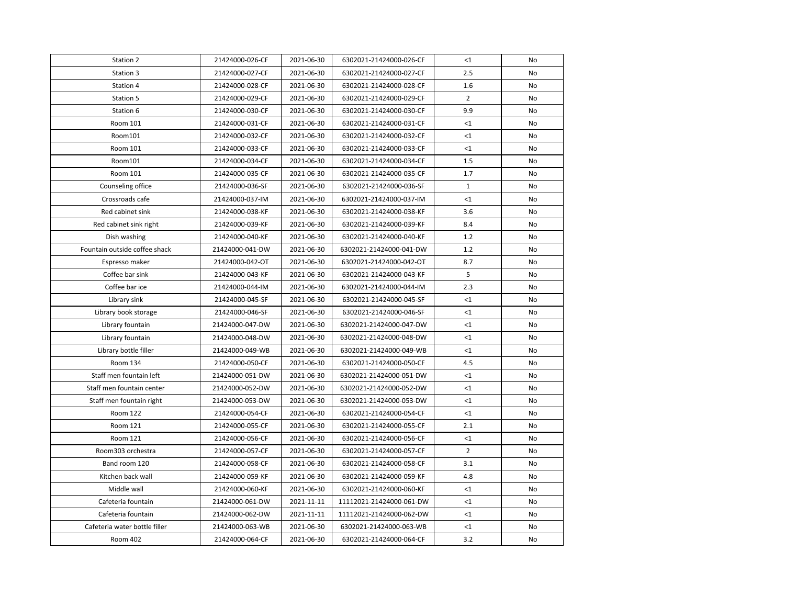| Station 2                     | 21424000-026-CF | 2021-06-30 | 6302021-21424000-026-CF  | $<$ 1          | No        |
|-------------------------------|-----------------|------------|--------------------------|----------------|-----------|
| Station 3                     | 21424000-027-CF | 2021-06-30 | 6302021-21424000-027-CF  | 2.5            | <b>No</b> |
| Station 4                     | 21424000-028-CF | 2021-06-30 | 6302021-21424000-028-CF  | 1.6            | No        |
| Station 5                     | 21424000-029-CF | 2021-06-30 | 6302021-21424000-029-CF  | $\overline{2}$ | No        |
| Station 6                     | 21424000-030-CF | 2021-06-30 | 6302021-21424000-030-CF  | 9.9            | No        |
| Room 101                      | 21424000-031-CF | 2021-06-30 | 6302021-21424000-031-CF  | $<$ 1          | No        |
| Room101                       | 21424000-032-CF | 2021-06-30 | 6302021-21424000-032-CF  | $<$ 1          | No        |
| Room 101                      | 21424000-033-CF | 2021-06-30 | 6302021-21424000-033-CF  | <1             | No        |
| Room101                       | 21424000-034-CF | 2021-06-30 | 6302021-21424000-034-CF  | 1.5            | No        |
| Room 101                      | 21424000-035-CF | 2021-06-30 | 6302021-21424000-035-CF  | 1.7            | No        |
| Counseling office             | 21424000-036-SF | 2021-06-30 | 6302021-21424000-036-SF  | $\mathbf{1}$   | No        |
| Crossroads cafe               | 21424000-037-IM | 2021-06-30 | 6302021-21424000-037-IM  | <1             | No        |
| Red cabinet sink              | 21424000-038-KF | 2021-06-30 | 6302021-21424000-038-KF  | 3.6            | No        |
| Red cabinet sink right        | 21424000-039-KF | 2021-06-30 | 6302021-21424000-039-KF  | 8.4            | No        |
| Dish washing                  | 21424000-040-KF | 2021-06-30 | 6302021-21424000-040-KF  | 1.2            | No        |
| Fountain outside coffee shack | 21424000-041-DW | 2021-06-30 | 6302021-21424000-041-DW  | 1.2            | No        |
| Espresso maker                | 21424000-042-OT | 2021-06-30 | 6302021-21424000-042-OT  | 8.7            | No        |
| Coffee bar sink               | 21424000-043-KF | 2021-06-30 | 6302021-21424000-043-KF  | 5              | No        |
| Coffee bar ice                | 21424000-044-IM | 2021-06-30 | 6302021-21424000-044-IM  | 2.3            | No        |
| Library sink                  | 21424000-045-SF | 2021-06-30 | 6302021-21424000-045-SF  | $<$ 1          | No        |
| Library book storage          | 21424000-046-SF | 2021-06-30 | 6302021-21424000-046-SF  | <1             | No        |
| Library fountain              | 21424000-047-DW | 2021-06-30 | 6302021-21424000-047-DW  | $<$ 1          | No        |
| Library fountain              | 21424000-048-DW | 2021-06-30 | 6302021-21424000-048-DW  | <1             | No        |
| Library bottle filler         | 21424000-049-WB | 2021-06-30 | 6302021-21424000-049-WB  | <1             | No        |
| Room 134                      | 21424000-050-CF | 2021-06-30 | 6302021-21424000-050-CF  | 4.5            | No        |
| Staff men fountain left       | 21424000-051-DW | 2021-06-30 | 6302021-21424000-051-DW  | $<$ 1          | No        |
| Staff men fountain center     | 21424000-052-DW | 2021-06-30 | 6302021-21424000-052-DW  | <1             | No        |
| Staff men fountain right      | 21424000-053-DW | 2021-06-30 | 6302021-21424000-053-DW  | $<$ 1          | No        |
| Room 122                      | 21424000-054-CF | 2021-06-30 | 6302021-21424000-054-CF  | $<$ 1          | No        |
| Room 121                      | 21424000-055-CF | 2021-06-30 | 6302021-21424000-055-CF  | 2.1            | No        |
| Room 121                      | 21424000-056-CF | 2021-06-30 | 6302021-21424000-056-CF  | $<$ 1          | No        |
| Room303 orchestra             | 21424000-057-CF | 2021-06-30 | 6302021-21424000-057-CF  | $\overline{2}$ | No        |
| Band room 120                 | 21424000-058-CF | 2021-06-30 | 6302021-21424000-058-CF  | 3.1            | No        |
| Kitchen back wall             | 21424000-059-KF | 2021-06-30 | 6302021-21424000-059-KF  | 4.8            | No        |
| Middle wall                   | 21424000-060-KF | 2021-06-30 | 6302021-21424000-060-KF  | <1             | No        |
| Cafeteria fountain            | 21424000-061-DW | 2021-11-11 | 11112021-21424000-061-DW | <1             | No        |
| Cafeteria fountain            | 21424000-062-DW | 2021-11-11 | 11112021-21424000-062-DW | $<$ 1          | No        |
| Cafeteria water bottle filler | 21424000-063-WB | 2021-06-30 | 6302021-21424000-063-WB  | <1             | No        |
| Room 402                      | 21424000-064-CF | 2021-06-30 | 6302021-21424000-064-CF  | 3.2            | No        |
|                               |                 |            |                          |                |           |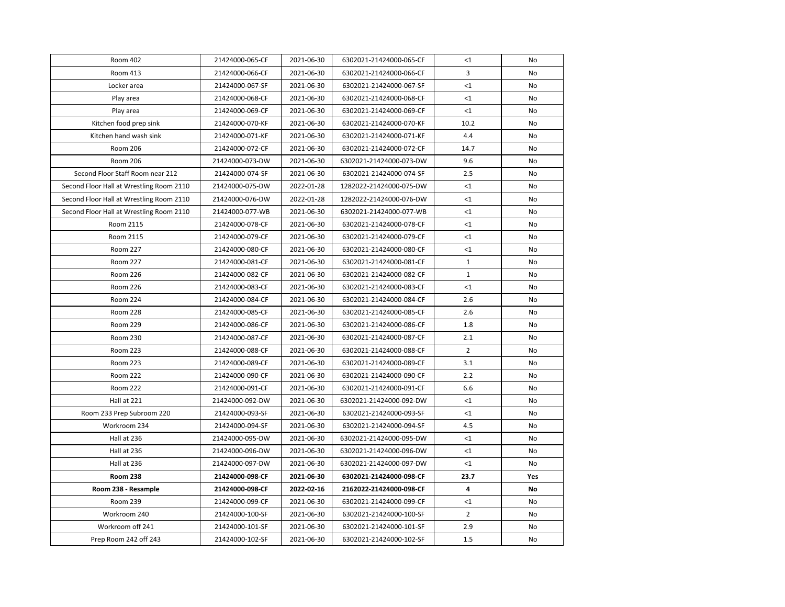| Room 402                                 | 21424000-065-CF | 2021-06-30 | 6302021-21424000-065-CF | <1             | No  |
|------------------------------------------|-----------------|------------|-------------------------|----------------|-----|
| Room 413                                 | 21424000-066-CF | 2021-06-30 | 6302021-21424000-066-CF | 3              | No  |
| Locker area                              | 21424000-067-SF | 2021-06-30 | 6302021-21424000-067-SF | $\leq$ 1       | No  |
| Play area                                | 21424000-068-CF | 2021-06-30 | 6302021-21424000-068-CF | $\leq$ 1       | No  |
| Play area                                | 21424000-069-CF | 2021-06-30 | 6302021-21424000-069-CF | $<1\,$         | No  |
| Kitchen food prep sink                   | 21424000-070-KF | 2021-06-30 | 6302021-21424000-070-KF | 10.2           | No  |
| Kitchen hand wash sink                   | 21424000-071-KF | 2021-06-30 | 6302021-21424000-071-KF | 4.4            | No  |
| Room 206                                 | 21424000-072-CF | 2021-06-30 | 6302021-21424000-072-CF | 14.7           | No  |
| Room 206                                 | 21424000-073-DW | 2021-06-30 | 6302021-21424000-073-DW | 9.6            | No  |
| Second Floor Staff Room near 212         | 21424000-074-SF | 2021-06-30 | 6302021-21424000-074-SF | 2.5            | No  |
| Second Floor Hall at Wrestling Room 2110 | 21424000-075-DW | 2022-01-28 | 1282022-21424000-075-DW | $\leq$ 1       | No  |
| Second Floor Hall at Wrestling Room 2110 | 21424000-076-DW | 2022-01-28 | 1282022-21424000-076-DW | <1             | No  |
| Second Floor Hall at Wrestling Room 2110 | 21424000-077-WB | 2021-06-30 | 6302021-21424000-077-WB | <1             | No  |
| Room 2115                                | 21424000-078-CF | 2021-06-30 | 6302021-21424000-078-CF | $\leq 1$       | No  |
| Room 2115                                | 21424000-079-CF | 2021-06-30 | 6302021-21424000-079-CF | $<$ 1          | No  |
| Room 227                                 | 21424000-080-CF | 2021-06-30 | 6302021-21424000-080-CF | <1             | No  |
| <b>Room 227</b>                          | 21424000-081-CF | 2021-06-30 | 6302021-21424000-081-CF | $\mathbf{1}$   | No  |
| Room 226                                 | 21424000-082-CF | 2021-06-30 | 6302021-21424000-082-CF | $\mathbf{1}$   | No  |
| Room 226                                 | 21424000-083-CF | 2021-06-30 | 6302021-21424000-083-CF | ${<}1$         | No  |
| Room 224                                 | 21424000-084-CF | 2021-06-30 | 6302021-21424000-084-CF | 2.6            | No  |
| Room 228                                 | 21424000-085-CF | 2021-06-30 | 6302021-21424000-085-CF | 2.6            | No  |
| <b>Room 229</b>                          | 21424000-086-CF | 2021-06-30 | 6302021-21424000-086-CF | 1.8            | No  |
| <b>Room 230</b>                          | 21424000-087-CF | 2021-06-30 | 6302021-21424000-087-CF | 2.1            | No  |
| <b>Room 223</b>                          | 21424000-088-CF | 2021-06-30 | 6302021-21424000-088-CF | $\overline{2}$ | No  |
| <b>Room 223</b>                          | 21424000-089-CF | 2021-06-30 | 6302021-21424000-089-CF | 3.1            | No  |
| <b>Room 222</b>                          | 21424000-090-CF | 2021-06-30 | 6302021-21424000-090-CF | 2.2            | No  |
| <b>Room 222</b>                          | 21424000-091-CF | 2021-06-30 | 6302021-21424000-091-CF | 6.6            | No  |
| Hall at 221                              | 21424000-092-DW | 2021-06-30 | 6302021-21424000-092-DW | $<$ 1          | No  |
| Room 233 Prep Subroom 220                | 21424000-093-SF | 2021-06-30 | 6302021-21424000-093-SF | <1             | No  |
| Workroom 234                             | 21424000-094-SF | 2021-06-30 | 6302021-21424000-094-SF | 4.5            | No  |
| Hall at 236                              | 21424000-095-DW | 2021-06-30 | 6302021-21424000-095-DW | $<$ 1          | No  |
| Hall at 236                              | 21424000-096-DW | 2021-06-30 | 6302021-21424000-096-DW | <1             | No  |
| Hall at 236                              | 21424000-097-DW | 2021-06-30 | 6302021-21424000-097-DW | <1             | No  |
| <b>Room 238</b>                          | 21424000-098-CF | 2021-06-30 | 6302021-21424000-098-CF | 23.7           | Yes |
| Room 238 - Resample                      | 21424000-098-CF | 2022-02-16 | 2162022-21424000-098-CF | 4              | No  |
| Room 239                                 | 21424000-099-CF | 2021-06-30 | 6302021-21424000-099-CF | <1             | No  |
| Workroom 240                             | 21424000-100-SF | 2021-06-30 | 6302021-21424000-100-SF | $\overline{2}$ | No  |
| Workroom off 241                         | 21424000-101-SF | 2021-06-30 | 6302021-21424000-101-SF | 2.9            | No  |
| Prep Room 242 off 243                    | 21424000-102-SF | 2021-06-30 | 6302021-21424000-102-SF | 1.5            | No  |
|                                          |                 |            |                         |                |     |